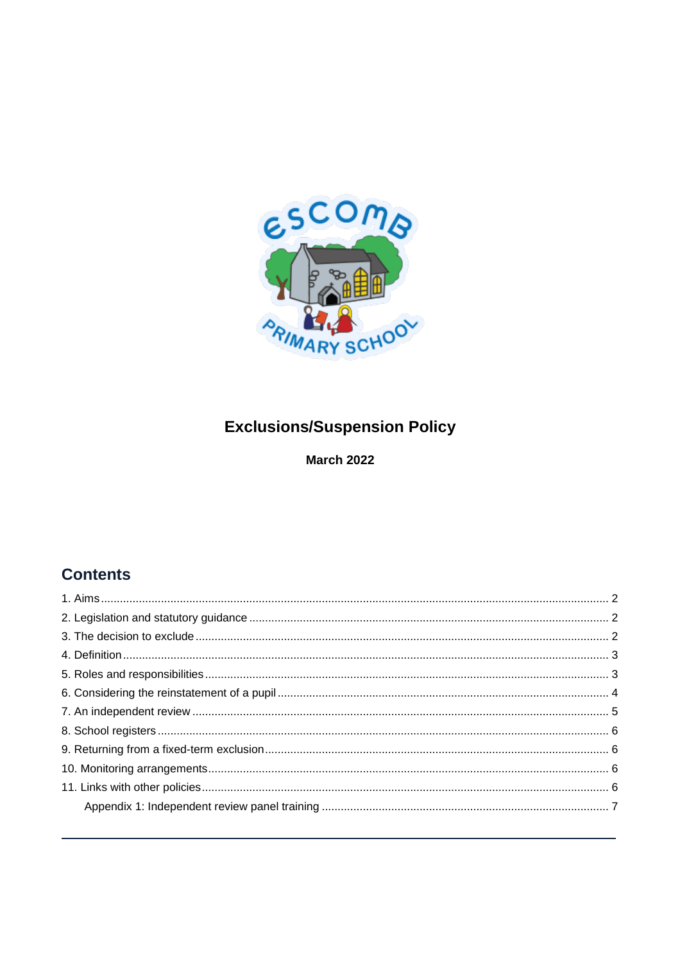

# **Exclusions/Suspension Policy**

**March 2022** 

# **Contents**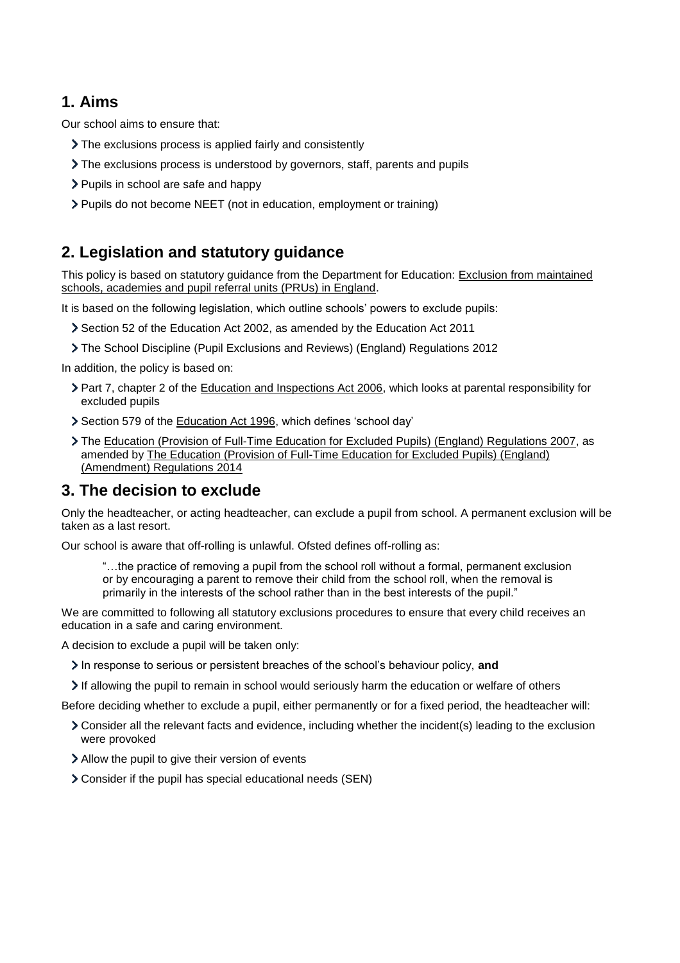## <span id="page-1-0"></span>**1. Aims**

Our school aims to ensure that:

- The exclusions process is applied fairly and consistently
- The exclusions process is understood by governors, staff, parents and pupils
- > Pupils in school are safe and happy
- Pupils do not become NEET (not in education, employment or training)

## <span id="page-1-1"></span>**2. Legislation and statutory guidance**

This policy is based on statutory guidance from the Department for Education: [Exclusion from maintained](https://www.gov.uk/government/publications/school-exclusion)  [schools, academies and pupil referral units \(PRUs\) in England.](https://www.gov.uk/government/publications/school-exclusion)

It is based on the following legislation, which outline schools' powers to exclude pupils:

- Section 52 of the [Education Act 2002,](http://www.legislation.gov.uk/ukpga/2002/32/section/52) as amended by the [Education Act 2011](http://www.legislation.gov.uk/ukpga/2011/21/contents/enacted)
- [The School Discipline \(Pupil Exclusions and Reviews\) \(England\) Regulations 2012](http://www.legislation.gov.uk/uksi/2012/1033/made)

In addition, the policy is based on:

- Part 7, chapter 2 of the [Education and Inspections Act 2006,](http://www.legislation.gov.uk/ukpga/2006/40/part/7/chapter/2) which looks at parental responsibility for excluded pupils
- Section 579 of the [Education Act 1996,](http://www.legislation.gov.uk/ukpga/1996/56/section/579) which defines 'school day'
- The [Education \(Provision of Full-Time Education for Excluded Pupils\) \(England\) Regulations 2007,](http://www.legislation.gov.uk/uksi/2007/1870/contents/made) as amended b[y The Education \(Provision of Full-Time Education for Excluded Pupils\) \(England\)](http://www.legislation.gov.uk/uksi/2014/3216/contents/made)  [\(Amendment\) Regulations 2014](http://www.legislation.gov.uk/uksi/2014/3216/contents/made)

## <span id="page-1-2"></span>**3. The decision to exclude**

Only the headteacher, or acting headteacher, can exclude a pupil from school. A permanent exclusion will be taken as a last resort.

Our school is aware that off-rolling is unlawful. Ofsted defines off-rolling as:

"…the practice of removing a pupil from the school roll without a formal, permanent exclusion or by encouraging a parent to remove their child from the school roll, when the removal is primarily in the interests of the school rather than in the best interests of the pupil."

We are committed to following all statutory exclusions procedures to ensure that every child receives an education in a safe and caring environment.

A decision to exclude a pupil will be taken only:

- In response to serious or persistent breaches of the school's behaviour policy, **and**
- If allowing the pupil to remain in school would seriously harm the education or welfare of others

Before deciding whether to exclude a pupil, either permanently or for a fixed period, the headteacher will:

- Consider all the relevant facts and evidence, including whether the incident(s) leading to the exclusion were provoked
- Allow the pupil to give their version of events
- Consider if the pupil has special educational needs (SEN)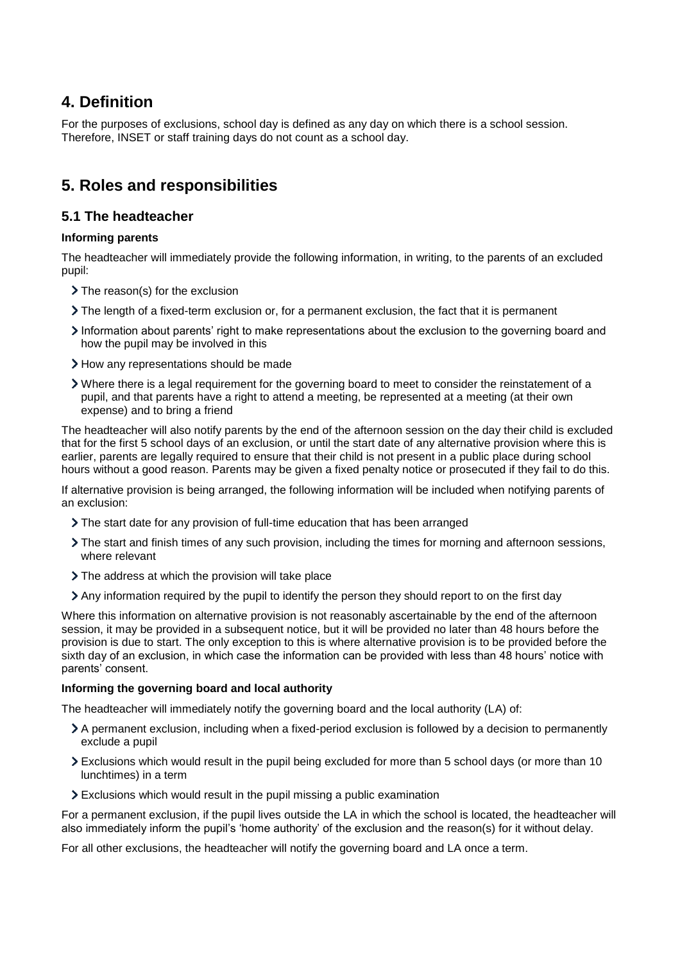## <span id="page-2-0"></span>**4. Definition**

For the purposes of exclusions, school day is defined as any day on which there is a school session. Therefore, INSET or staff training days do not count as a school day.

## <span id="page-2-1"></span>**5. Roles and responsibilities**

#### **5.1 The headteacher**

#### **Informing parents**

The headteacher will immediately provide the following information, in writing, to the parents of an excluded pupil:

- > The reason(s) for the exclusion
- The length of a fixed-term exclusion or, for a permanent exclusion, the fact that it is permanent
- Information about parents' right to make representations about the exclusion to the governing board and how the pupil may be involved in this
- > How any representations should be made
- Where there is a legal requirement for the governing board to meet to consider the reinstatement of a pupil, and that parents have a right to attend a meeting, be represented at a meeting (at their own expense) and to bring a friend

The headteacher will also notify parents by the end of the afternoon session on the day their child is excluded that for the first 5 school days of an exclusion, or until the start date of any alternative provision where this is earlier, parents are legally required to ensure that their child is not present in a public place during school hours without a good reason. Parents may be given a fixed penalty notice or prosecuted if they fail to do this.

If alternative provision is being arranged, the following information will be included when notifying parents of an exclusion:

- The start date for any provision of full-time education that has been arranged
- The start and finish times of any such provision, including the times for morning and afternoon sessions, where relevant
- > The address at which the provision will take place
- Any information required by the pupil to identify the person they should report to on the first day

Where this information on alternative provision is not reasonably ascertainable by the end of the afternoon session, it may be provided in a subsequent notice, but it will be provided no later than 48 hours before the provision is due to start. The only exception to this is where alternative provision is to be provided before the sixth day of an exclusion, in which case the information can be provided with less than 48 hours' notice with parents' consent.

#### **Informing the governing board and local authority**

The headteacher will immediately notify the governing board and the local authority (LA) of:

- A permanent exclusion, including when a fixed-period exclusion is followed by a decision to permanently exclude a pupil
- Exclusions which would result in the pupil being excluded for more than 5 school days (or more than 10 lunchtimes) in a term
- Exclusions which would result in the pupil missing a public examination

For a permanent exclusion, if the pupil lives outside the LA in which the school is located, the headteacher will also immediately inform the pupil's 'home authority' of the exclusion and the reason(s) for it without delay.

For all other exclusions, the headteacher will notify the governing board and LA once a term.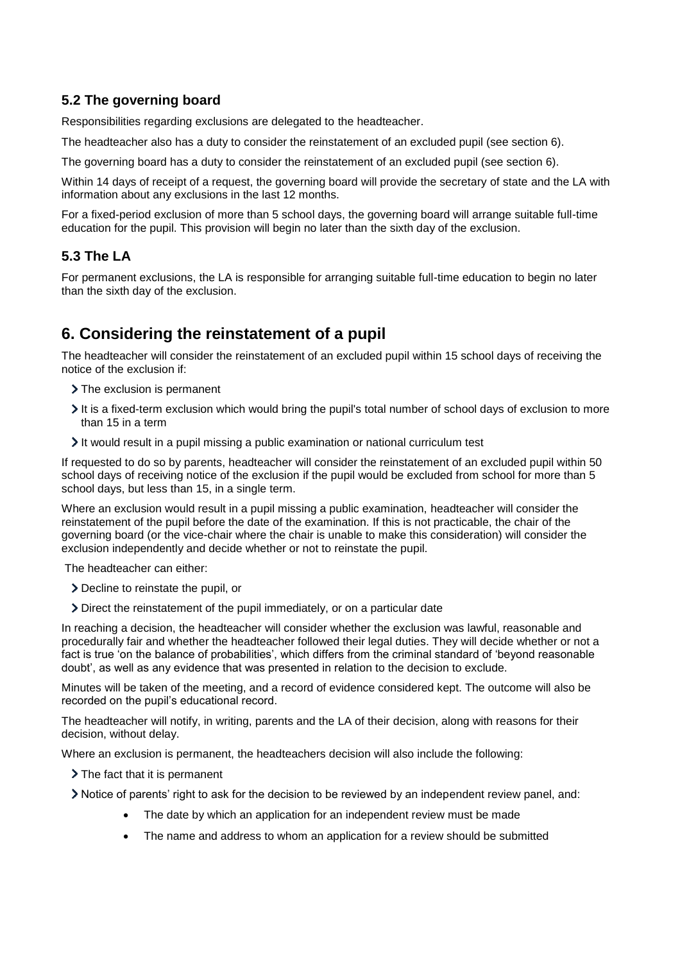### **5.2 The governing board**

Responsibilities regarding exclusions are delegated to the headteacher.

The headteacher also has a duty to consider the reinstatement of an excluded pupil (see section 6).

The governing board has a duty to consider the reinstatement of an excluded pupil (see section 6).

Within 14 days of receipt of a request, the governing board will provide the secretary of state and the LA with information about any exclusions in the last 12 months.

For a fixed-period exclusion of more than 5 school days, the governing board will arrange suitable full-time education for the pupil. This provision will begin no later than the sixth day of the exclusion.

### **5.3 The LA**

For permanent exclusions, the LA is responsible for arranging suitable full-time education to begin no later than the sixth day of the exclusion.

## <span id="page-3-0"></span>**6. Considering the reinstatement of a pupil**

The headteacher will consider the reinstatement of an excluded pupil within 15 school days of receiving the notice of the exclusion if:

- > The exclusion is permanent
- It is a fixed-term exclusion which would bring the pupil's total number of school days of exclusion to more than 15 in a term
- It would result in a pupil missing a public examination or national curriculum test

If requested to do so by parents, headteacher will consider the reinstatement of an excluded pupil within 50 school days of receiving notice of the exclusion if the pupil would be excluded from school for more than 5 school days, but less than 15, in a single term.

Where an exclusion would result in a pupil missing a public examination, headteacher will consider the reinstatement of the pupil before the date of the examination. If this is not practicable, the chair of the governing board (or the vice-chair where the chair is unable to make this consideration) will consider the exclusion independently and decide whether or not to reinstate the pupil.

The headteacher can either:

- Decline to reinstate the pupil, or
- Direct the reinstatement of the pupil immediately, or on a particular date

In reaching a decision, the headteacher will consider whether the exclusion was lawful, reasonable and procedurally fair and whether the headteacher followed their legal duties. They will decide whether or not a fact is true 'on the balance of probabilities', which differs from the criminal standard of 'beyond reasonable doubt', as well as any evidence that was presented in relation to the decision to exclude.

Minutes will be taken of the meeting, and a record of evidence considered kept. The outcome will also be recorded on the pupil's educational record.

The headteacher will notify, in writing, parents and the LA of their decision, along with reasons for their decision, without delay.

Where an exclusion is permanent, the headteachers decision will also include the following:

> The fact that it is permanent

Notice of parents' right to ask for the decision to be reviewed by an independent review panel, and:

- The date by which an application for an independent review must be made
- The name and address to whom an application for a review should be submitted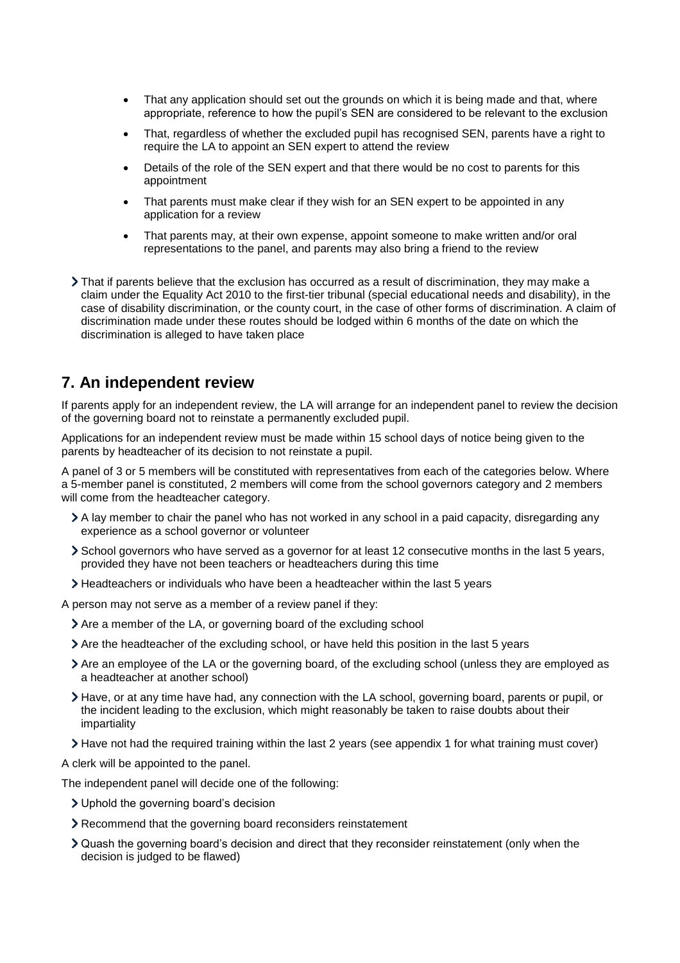- That any application should set out the grounds on which it is being made and that, where appropriate, reference to how the pupil's SEN are considered to be relevant to the exclusion
- That, regardless of whether the excluded pupil has recognised SEN, parents have a right to require the LA to appoint an SEN expert to attend the review
- Details of the role of the SEN expert and that there would be no cost to parents for this appointment
- That parents must make clear if they wish for an SEN expert to be appointed in any application for a review
- That parents may, at their own expense, appoint someone to make written and/or oral representations to the panel, and parents may also bring a friend to the review
- That if parents believe that the exclusion has occurred as a result of discrimination, they may make a claim under the Equality Act 2010 to the first-tier tribunal (special educational needs and disability), in the case of disability discrimination, or the county court, in the case of other forms of discrimination. A claim of discrimination made under these routes should be lodged within 6 months of the date on which the discrimination is alleged to have taken place

## <span id="page-4-0"></span>**7. An independent review**

If parents apply for an independent review, the LA will arrange for an independent panel to review the decision of the governing board not to reinstate a permanently excluded pupil.

Applications for an independent review must be made within 15 school days of notice being given to the parents by headteacher of its decision to not reinstate a pupil.

A panel of 3 or 5 members will be constituted with representatives from each of the categories below. Where a 5-member panel is constituted, 2 members will come from the school governors category and 2 members will come from the headteacher category.

- A lay member to chair the panel who has not worked in any school in a paid capacity, disregarding any experience as a school governor or volunteer
- School governors who have served as a governor for at least 12 consecutive months in the last 5 years, provided they have not been teachers or headteachers during this time
- Headteachers or individuals who have been a headteacher within the last 5 years

A person may not serve as a member of a review panel if they:

- Are a member of the LA, or governing board of the excluding school
- Are the headteacher of the excluding school, or have held this position in the last 5 years
- Are an employee of the LA or the governing board, of the excluding school (unless they are employed as a headteacher at another school)
- Have, or at any time have had, any connection with the LA school, governing board, parents or pupil, or the incident leading to the exclusion, which might reasonably be taken to raise doubts about their impartiality
- Have not had the required training within the last 2 years (see appendix 1 for what training must cover)

A clerk will be appointed to the panel.

The independent panel will decide one of the following:

- Uphold the governing board's decision
- Recommend that the governing board reconsiders reinstatement
- Quash the governing board's decision and direct that they reconsider reinstatement (only when the decision is judged to be flawed)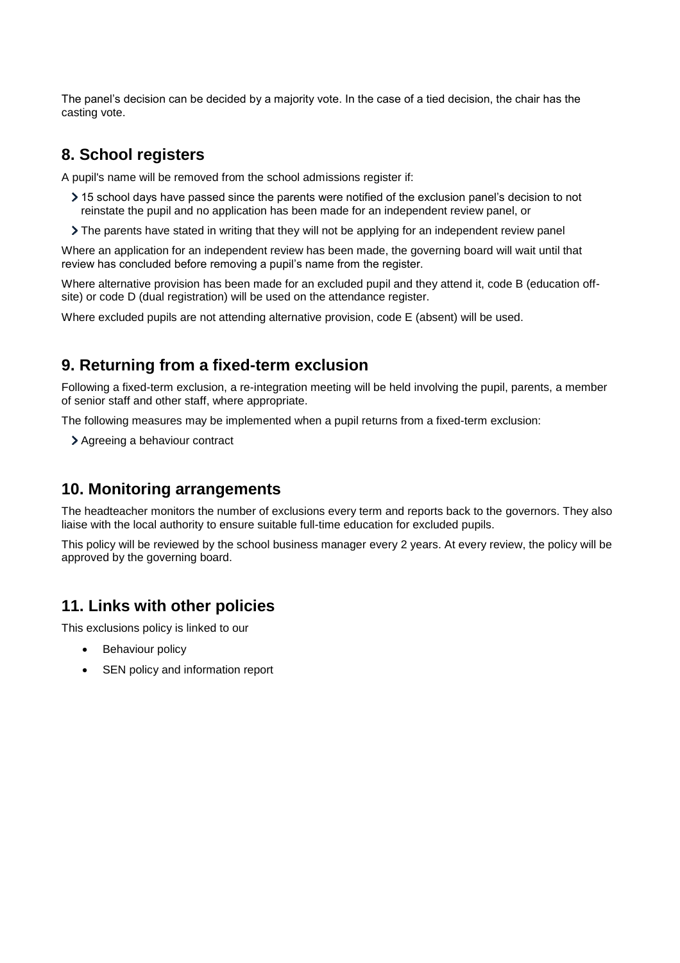The panel's decision can be decided by a majority vote. In the case of a tied decision, the chair has the casting vote.

## <span id="page-5-0"></span>**8. School registers**

A pupil's name will be removed from the school admissions register if:

- 15 school days have passed since the parents were notified of the exclusion panel's decision to not reinstate the pupil and no application has been made for an independent review panel, or
- The parents have stated in writing that they will not be applying for an independent review panel

Where an application for an independent review has been made, the governing board will wait until that review has concluded before removing a pupil's name from the register.

Where alternative provision has been made for an excluded pupil and they attend it, code B (education offsite) or code D (dual registration) will be used on the attendance register.

Where excluded pupils are not attending alternative provision, code E (absent) will be used.

### <span id="page-5-1"></span>**9. Returning from a fixed-term exclusion**

Following a fixed-term exclusion, a re-integration meeting will be held involving the pupil, parents, a member of senior staff and other staff, where appropriate.

The following measures may be implemented when a pupil returns from a fixed-term exclusion:

Agreeing a behaviour contract

## <span id="page-5-2"></span>**10. Monitoring arrangements**

The headteacher monitors the number of exclusions every term and reports back to the governors. They also liaise with the local authority to ensure suitable full-time education for excluded pupils.

This policy will be reviewed by the school business manager every 2 years. At every review, the policy will be approved by the governing board.

## <span id="page-5-3"></span>**11. Links with other policies**

This exclusions policy is linked to our

- Behaviour policy
- SEN policy and information report